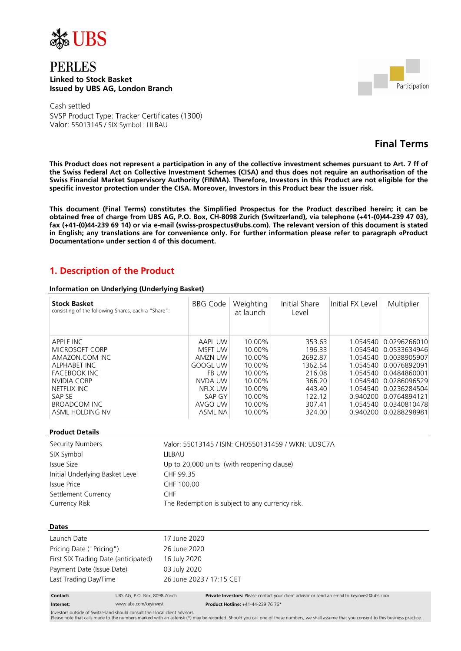

## PERLES **Linked to Stock Basket Issued by UBS AG, London Branch**



Cash settled SVSP Product Type: Tracker Certificates (1300) Valor: 55013145 / SIX Symbol : LILBAU

# **Final Terms**

**This Product does not represent a participation in any of the collective investment schemes pursuant to Art. 7 ff of the Swiss Federal Act on Collective Investment Schemes (CISA) and thus does not require an authorisation of the Swiss Financial Market Supervisory Authority (FINMA). Therefore, Investors in this Product are not eligible for the specific investor protection under the CISA. Moreover, Investors in this Product bear the issuer risk.**

**This document (Final Terms) constitutes the Simplified Prospectus for the Product described herein; it can be obtained free of charge from UBS AG, P.O. Box, CH-8098 Zurich (Switzerland), via telephone (+41-(0)44-239 47 03), fax (+41-(0)44-239 69 14) or via e-mail (swiss-prospectus@ubs.com). The relevant version of this document is stated in English; any translations are for convenience only. For further information please refer to paragraph «Product Documentation» under section 4 of this document.**

# **1. Description of the Product**

#### **Information on Underlying (Underlying Basket)**

| <b>Stock Basket</b><br>consisting of the following Shares, each a "Share": | <b>BBG Code</b> | Weighting<br>at launch | Initial Share<br>Level | Initial FX Level | Multiplier            |
|----------------------------------------------------------------------------|-----------------|------------------------|------------------------|------------------|-----------------------|
|                                                                            |                 |                        |                        |                  |                       |
| APPLE INC                                                                  | AAPL UW         | 10.00%                 | 353.63                 |                  | 1.054540 0.0296266010 |
| MICROSOFT CORP                                                             | MSFT UW         | 10.00%                 | 196.33                 |                  | 1.054540 0.0533634946 |
| AMAZON.COM INC                                                             | AMZN UW         | 10.00%                 | 2692.87                |                  | 1 054540 0 0038905907 |
| <b>ALPHABET INC</b>                                                        | GOOGL UW        | 10.00%                 | 1362.54                |                  | 1.054540 0.0076892091 |
| <b>FACEBOOK INC</b>                                                        | FB UW           | 10.00%                 | 216.08                 |                  | 1.054540 0.0484860001 |
| NVIDIA CORP                                                                | NVDA UW         | 10.00%                 | 366.20                 |                  | 1.054540 0.0286096529 |
| NETFLIX INC                                                                | NFLX UW         | 10.00%                 | 443.40                 | 1 054540         | 0.0236284504          |
| SAP SE                                                                     | SAP GY          | 10.00%                 | 122.12                 |                  | 0.940200 0.0764894121 |
| BROADCOM INC                                                               | AVGO UW         | 10.00%                 | 307.41                 |                  | 1.054540 0.0340810478 |
| ASML HOLDING NV                                                            | <b>ASML NA</b>  | 10.00%                 | 324.00                 |                  | 0.940200 0.0288298981 |

#### **Product Details**

| Security Numbers                | Valor: 55013145 / ISIN: CH0550131459 / WKN: UD9C7A |
|---------------------------------|----------------------------------------------------|
| SIX Symbol                      | LILBAU                                             |
| Issue Size                      | Up to 20,000 units (with reopening clause)         |
| Initial Underlying Basket Level | CHF 99.35                                          |
| <b>Issue Price</b>              | CHF 100.00                                         |
| Settlement Currency             | CHF.                                               |
| Currency Risk                   | The Redemption is subject to any currency risk.    |

#### **Dates**

| Launch Date                          | 17 June 2020             |
|--------------------------------------|--------------------------|
| Pricing Date ("Pricing")             | 26 June 2020             |
| First SIX Trading Date (anticipated) | 16 July 2020             |
| Payment Date (Issue Date)            | 03 July 2020             |
| Last Trading Day/Time                | 26 June 2023 / 17:15 CFT |
|                                      |                          |

| Contact: | UBS AG, P.O. Box, |
|----------|-------------------|
|          |                   |

**Contact:** UBS AG, P.O. Box, 8098 Zürich **Private Investors:** Please contact your client advisor or send an email to keyinvest@ubs.com **Internet:** www.ubs.com/keyinvest **Product Hotline:** +41-44-239 76 76\*

Investors outside of Switzerland should consult their local client advisors.

Please note that calls made to the numbers marked with an asterisk (\*) may be recorded. Should you call one of these numbers, we shall assume that you consent to this business practice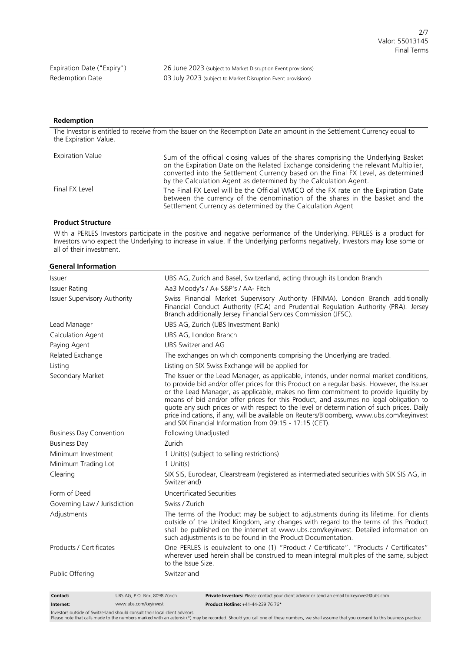Expiration Date ("Expiry") 26 June 2023 (subject to Market Disruption Event provisions) Redemption Date 03 July 2023 (subject to Market Disruption Event provisions)

#### **Redemption**

The Investor is entitled to receive from the Issuer on the Redemption Date an amount in the Settlement Currency equal to the Expiration Value.

| <b>Expiration Value</b> | Sum of the official closing values of the shares comprising the Underlying Basket<br>on the Expiration Date on the Related Exchange considering the relevant Multiplier,<br>converted into the Settlement Currency based on the Final FX Level, as determined<br>by the Calculation Agent as determined by the Calculation Agent. |
|-------------------------|-----------------------------------------------------------------------------------------------------------------------------------------------------------------------------------------------------------------------------------------------------------------------------------------------------------------------------------|
| Final FX Level          | The Final FX Level will be the Official WMCO of the FX rate on the Expiration Date<br>between the currency of the denomination of the shares in the basket and the<br>Settlement Currency as determined by the Calculation Agent                                                                                                  |

#### **Product Structure**

With a PERLES Investors participate in the positive and negative performance of the Underlying. PERLES is a product for Investors who expect the Underlying to increase in value. If the Underlying performs negatively, Investors may lose some or all of their investment.

#### **General Information**

| Issuer                                    | UBS AG, Zurich and Basel, Switzerland, acting through its London Branch                                                                                                                                                                                                                                                                                                                                                                                                                                                                                                                                                     |  |
|-------------------------------------------|-----------------------------------------------------------------------------------------------------------------------------------------------------------------------------------------------------------------------------------------------------------------------------------------------------------------------------------------------------------------------------------------------------------------------------------------------------------------------------------------------------------------------------------------------------------------------------------------------------------------------------|--|
| <b>Issuer Rating</b>                      | Aa3 Moody's / A+ S&P's / AA- Fitch                                                                                                                                                                                                                                                                                                                                                                                                                                                                                                                                                                                          |  |
| <b>Issuer Supervisory Authority</b>       | Swiss Financial Market Supervisory Authority (FINMA). London Branch additionally<br>Financial Conduct Authority (FCA) and Prudential Regulation Authority (PRA). Jersey<br>Branch additionally Jersey Financial Services Commission (JFSC).                                                                                                                                                                                                                                                                                                                                                                                 |  |
| Lead Manager                              | UBS AG, Zurich (UBS Investment Bank)                                                                                                                                                                                                                                                                                                                                                                                                                                                                                                                                                                                        |  |
| Calculation Agent                         | UBS AG, London Branch                                                                                                                                                                                                                                                                                                                                                                                                                                                                                                                                                                                                       |  |
| Paying Agent                              | UBS Switzerland AG                                                                                                                                                                                                                                                                                                                                                                                                                                                                                                                                                                                                          |  |
| Related Exchange                          | The exchanges on which components comprising the Underlying are traded.                                                                                                                                                                                                                                                                                                                                                                                                                                                                                                                                                     |  |
| Listing                                   | Listing on SIX Swiss Exchange will be applied for                                                                                                                                                                                                                                                                                                                                                                                                                                                                                                                                                                           |  |
| Secondary Market                          | The Issuer or the Lead Manager, as applicable, intends, under normal market conditions,<br>to provide bid and/or offer prices for this Product on a regular basis. However, the Issuer<br>or the Lead Manager, as applicable, makes no firm commitment to provide liquidity by<br>means of bid and/or offer prices for this Product, and assumes no legal obligation to<br>quote any such prices or with respect to the level or determination of such prices. Daily<br>price indications, if any, will be available on Reuters/Bloomberg, www.ubs.com/keyinvest<br>and SIX Financial Information from 09:15 - 17:15 (CET). |  |
| <b>Business Day Convention</b>            | Following Unadjusted                                                                                                                                                                                                                                                                                                                                                                                                                                                                                                                                                                                                        |  |
| <b>Business Day</b>                       | Zurich                                                                                                                                                                                                                                                                                                                                                                                                                                                                                                                                                                                                                      |  |
| Minimum Investment                        | 1 Unit(s) (subject to selling restrictions)                                                                                                                                                                                                                                                                                                                                                                                                                                                                                                                                                                                 |  |
| Minimum Trading Lot                       | $1$ Unit(s)                                                                                                                                                                                                                                                                                                                                                                                                                                                                                                                                                                                                                 |  |
| Clearing                                  | SIX SIS, Euroclear, Clearstream (registered as intermediated securities with SIX SIS AG, in<br>Switzerland)                                                                                                                                                                                                                                                                                                                                                                                                                                                                                                                 |  |
| Form of Deed                              | Uncertificated Securities                                                                                                                                                                                                                                                                                                                                                                                                                                                                                                                                                                                                   |  |
| Governing Law / Jurisdiction              | Swiss / Zurich                                                                                                                                                                                                                                                                                                                                                                                                                                                                                                                                                                                                              |  |
| Adjustments                               | The terms of the Product may be subject to adjustments during its lifetime. For clients<br>outside of the United Kingdom, any changes with regard to the terms of this Product<br>shall be published on the internet at www.ubs.com/keyinvest. Detailed information on<br>such adjustments is to be found in the Product Documentation.                                                                                                                                                                                                                                                                                     |  |
| Products / Certificates                   | One PERLES is equivalent to one (1) "Product / Certificate". "Products / Certificates"<br>wherever used herein shall be construed to mean integral multiples of the same, subject<br>to the Issue Size.                                                                                                                                                                                                                                                                                                                                                                                                                     |  |
| Public Offering                           | Switzerland                                                                                                                                                                                                                                                                                                                                                                                                                                                                                                                                                                                                                 |  |
| UBS AG, P.O. Box, 8098 Zürich<br>Contact: | Private Investors: Please contact your client advisor or send an email to keyinvest@ubs.com                                                                                                                                                                                                                                                                                                                                                                                                                                                                                                                                 |  |

**Internet:** www.ubs.com/keyinvest **Product Hotline:** +41-44-239 76 76\* Investors outside of Switzerland should consult their local client advisors.

Please note that calls made to the numbers marked with an asterisk (\*) may be recorded. Should you call one of these numbers, we shall assume that you consent to this business practice.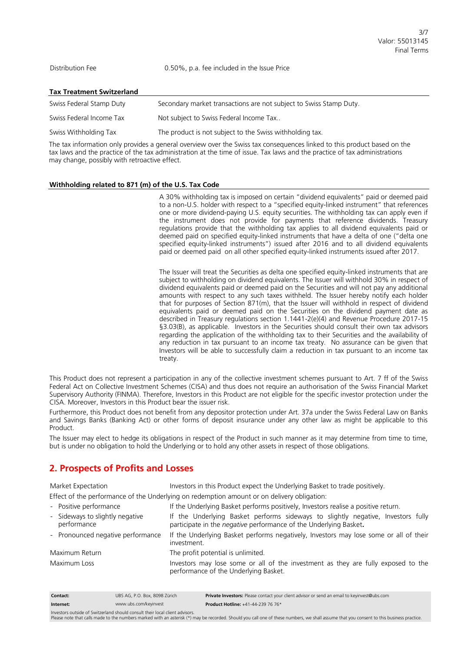Distribution Fee 0.50%, p.a. fee included in the Issue Price

|  | <b>Tax Treatment Switzerland</b> |  |
|--|----------------------------------|--|
|  |                                  |  |

| Swiss Federal Stamp Duty | Secondary market transactions are not subject to Swiss Stamp Duty. |
|--------------------------|--------------------------------------------------------------------|
| Swiss Federal Income Tax | Not subject to Swiss Federal Income Tax                            |
| Swiss Withholding Tax    | The product is not subject to the Swiss withholding tax.           |

The tax information only provides a general overview over the Swiss tax consequences linked to this product based on the tax laws and the practice of the tax administration at the time of issue. Tax laws and the practice of tax administrations may change, possibly with retroactive effect.

#### **Withholding related to 871 (m) of the U.S. Tax Code**

A 30% withholding tax is imposed on certain "dividend equivalents" paid or deemed paid to a non-U.S. holder with respect to a "specified equity-linked instrument" that references one or more dividend-paying U.S. equity securities. The withholding tax can apply even if the instrument does not provide for payments that reference dividends. Treasury regulations provide that the withholding tax applies to all dividend equivalents paid or deemed paid on specified equity-linked instruments that have a delta of one ("delta one specified equity-linked instruments") issued after 2016 and to all dividend equivalents paid or deemed paid on all other specified equity-linked instruments issued after 2017.

The Issuer will treat the Securities as delta one specified equity-linked instruments that are subject to withholding on dividend equivalents. The Issuer will withhold 30% in respect of dividend equivalents paid or deemed paid on the Securities and will not pay any additional amounts with respect to any such taxes withheld. The Issuer hereby notify each holder that for purposes of Section 871(m), that the Issuer will withhold in respect of dividend equivalents paid or deemed paid on the Securities on the dividend payment date as described in Treasury regulations section 1.1441-2(e)(4) and Revenue Procedure 2017-15 §3.03(B), as applicable. Investors in the Securities should consult their own tax advisors regarding the application of the withholding tax to their Securities and the availability of any reduction in tax pursuant to an income tax treaty. No assurance can be given that Investors will be able to successfully claim a reduction in tax pursuant to an income tax treaty.

This Product does not represent a participation in any of the collective investment schemes pursuant to Art. 7 ff of the Swiss Federal Act on Collective Investment Schemes (CISA) and thus does not require an authorisation of the Swiss Financial Market Supervisory Authority (FINMA). Therefore, Investors in this Product are not eligible for the specific investor protection under the CISA. Moreover, Investors in this Product bear the issuer risk.

Furthermore, this Product does not benefit from any depositor protection under Art. 37a under the Swiss Federal Law on Banks and Savings Banks (Banking Act) or other forms of deposit insurance under any other law as might be applicable to this Product.

The Issuer may elect to hedge its obligations in respect of the Product in such manner as it may determine from time to time, but is under no obligation to hold the Underlying or to hold any other assets in respect of those obligations.

### **2. Prospects of Profits and Losses**

Market Expectation Investors in this Product expect the Underlying Basket to trade positively.

- Effect of the performance of the Underlying on redemption amount or on delivery obligation:
- Positive performance If the Underlying Basket performs positively, Investors realise a positive return. - Sideways to slightly negative performance If the Underlying Basket performs sideways to slightly negative, Investors fully participate in the *negative* performance of the Underlying Basket**.** - Pronounced negative performance If the Underlying Basket performs negatively, Investors may lose some or all of their investment.

Maximum Return The profit potential is unlimited.

Maximum Loss **Investors may lose some or all of the investment as they are fully exposed to the** performance of the Underlying Basket.

| <b>Contact:</b>                                                              | UBS AG. P.O. Box. 8098 Zürich | Private Investors: Please contact your client advisor or send an email to keyinvest@ubs.com |
|------------------------------------------------------------------------------|-------------------------------|---------------------------------------------------------------------------------------------|
| Internet:                                                                    | www.ubs.com/keyinvest         | <b>Product Hotline: +41-44-239 76 76*</b>                                                   |
| Investors outside of Switzerland should consult their local client advisors. |                               |                                                                                             |

Investors outside of Switzerland should consult their local client advisors.<br>Please note that calls made to the numbers marked with an asterisk (\*) may be recorded. Should you call one of these numbers, we shall assume tha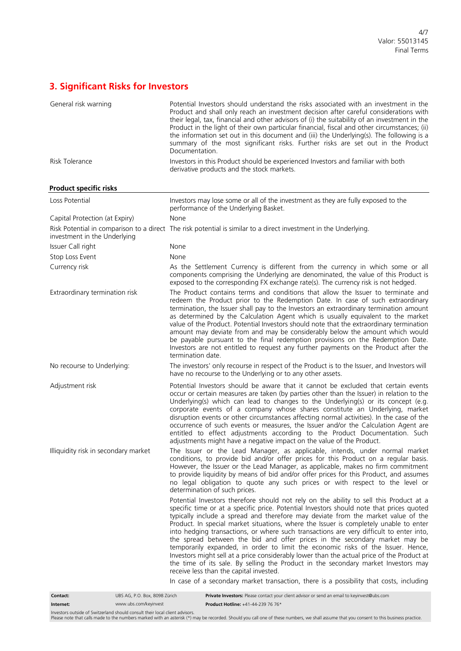# **3. Significant Risks for Investors**

| General risk warning                 | Potential Investors should understand the risks associated with an investment in the<br>Product and shall only reach an investment decision after careful considerations with<br>their legal, tax, financial and other advisors of (i) the suitability of an investment in the<br>Product in the light of their own particular financial, fiscal and other circumstances; (ii)<br>the information set out in this document and (iii) the Underlying(s). The following is a<br>summary of the most significant risks. Further risks are set out in the Product<br>Documentation.                                                                                                                                                                                                                                                                              |
|--------------------------------------|--------------------------------------------------------------------------------------------------------------------------------------------------------------------------------------------------------------------------------------------------------------------------------------------------------------------------------------------------------------------------------------------------------------------------------------------------------------------------------------------------------------------------------------------------------------------------------------------------------------------------------------------------------------------------------------------------------------------------------------------------------------------------------------------------------------------------------------------------------------|
| Risk Tolerance                       | Investors in this Product should be experienced Investors and familiar with both<br>derivative products and the stock markets.                                                                                                                                                                                                                                                                                                                                                                                                                                                                                                                                                                                                                                                                                                                               |
| <b>Product specific risks</b>        |                                                                                                                                                                                                                                                                                                                                                                                                                                                                                                                                                                                                                                                                                                                                                                                                                                                              |
| Loss Potential                       | Investors may lose some or all of the investment as they are fully exposed to the<br>performance of the Underlying Basket.                                                                                                                                                                                                                                                                                                                                                                                                                                                                                                                                                                                                                                                                                                                                   |
| Capital Protection (at Expiry)       | None                                                                                                                                                                                                                                                                                                                                                                                                                                                                                                                                                                                                                                                                                                                                                                                                                                                         |
| investment in the Underlying         | Risk Potential in comparison to a direct The risk potential is similar to a direct investment in the Underlying.                                                                                                                                                                                                                                                                                                                                                                                                                                                                                                                                                                                                                                                                                                                                             |
| Issuer Call right                    | None                                                                                                                                                                                                                                                                                                                                                                                                                                                                                                                                                                                                                                                                                                                                                                                                                                                         |
| Stop Loss Event                      | None                                                                                                                                                                                                                                                                                                                                                                                                                                                                                                                                                                                                                                                                                                                                                                                                                                                         |
| Currency risk                        | As the Settlement Currency is different from the currency in which some or all<br>components comprising the Underlying are denominated, the value of this Product is<br>exposed to the corresponding FX exchange rate(s). The currency risk is not hedged.                                                                                                                                                                                                                                                                                                                                                                                                                                                                                                                                                                                                   |
| Extraordinary termination risk       | The Product contains terms and conditions that allow the Issuer to terminate and<br>redeem the Product prior to the Redemption Date. In case of such extraordinary<br>termination, the Issuer shall pay to the Investors an extraordinary termination amount<br>as determined by the Calculation Agent which is usually equivalent to the market<br>value of the Product. Potential Investors should note that the extraordinary termination<br>amount may deviate from and may be considerably below the amount which would<br>be payable pursuant to the final redemption provisions on the Redemption Date.<br>Investors are not entitled to request any further payments on the Product after the<br>termination date.                                                                                                                                   |
| No recourse to Underlying:           | The investors' only recourse in respect of the Product is to the Issuer, and Investors will<br>have no recourse to the Underlying or to any other assets.                                                                                                                                                                                                                                                                                                                                                                                                                                                                                                                                                                                                                                                                                                    |
| Adjustment risk                      | Potential Investors should be aware that it cannot be excluded that certain events<br>occur or certain measures are taken (by parties other than the Issuer) in relation to the<br>Underlying(s) which can lead to changes to the Underlying(s) or its concept (e.g.<br>corporate events of a company whose shares constitute an Underlying, market<br>disruption events or other circumstances affecting normal activities). In the case of the<br>occurrence of such events or measures, the Issuer and/or the Calculation Agent are<br>entitled to effect adjustments according to the Product Documentation. Such<br>adjustments might have a negative impact on the value of the Product.                                                                                                                                                               |
| Illiquidity risk in secondary market | The Issuer or the Lead Manager, as applicable, intends, under normal market<br>conditions, to provide bid and/or offer prices for this Product on a regular basis.<br>However, the Issuer or the Lead Manager, as applicable, makes no firm commitment<br>to provide liquidity by means of bid and/or offer prices for this Product, and assumes<br>no legal obligation to quote any such prices or with respect to the level or<br>determination of such prices.                                                                                                                                                                                                                                                                                                                                                                                            |
|                                      | Potential Investors therefore should not rely on the ability to sell this Product at a<br>specific time or at a specific price. Potential Investors should note that prices quoted<br>typically include a spread and therefore may deviate from the market value of the<br>Product. In special market situations, where the Issuer is completely unable to enter<br>into hedging transactions, or where such transactions are very difficult to enter into,<br>the spread between the bid and offer prices in the secondary market may be<br>temporarily expanded, in order to limit the economic risks of the Issuer. Hence,<br>Investors might sell at a price considerably lower than the actual price of the Product at<br>the time of its sale. By selling the Product in the secondary market Investors may<br>receive less than the capital invested. |
|                                      | In case of a secondary market transaction, there is a possibility that costs, including                                                                                                                                                                                                                                                                                                                                                                                                                                                                                                                                                                                                                                                                                                                                                                      |
| Contact:                             | Private Investors: Please contact your client advisor or send an email to keyinvest@ubs.com<br>UBS AG, P.O. Box, 8098 Zürich                                                                                                                                                                                                                                                                                                                                                                                                                                                                                                                                                                                                                                                                                                                                 |
| www.ubs.com/keyinvest<br>Internet:   | Product Hotline: +41-44-239 76 76*                                                                                                                                                                                                                                                                                                                                                                                                                                                                                                                                                                                                                                                                                                                                                                                                                           |

Investors outside of Switzerland should consult their local client advisors.<br>Please note that calls made to the numbers marked with an asterisk (\*) may be recorded. Should you call one of these numbers, we shall assume tha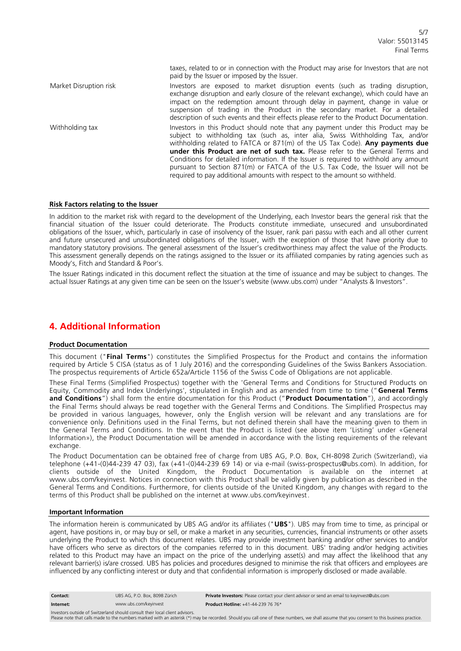taxes, related to or in connection with the Product may arise for Investors that are not paid by the Issuer or imposed by the Issuer. Market Disruption risk Investors are exposed to market disruption events (such as trading

| IVIJIKEL DISTUDUOTI IISK | Trivestors are exposed to market disruption events (such as trading disruption,<br>exchange disruption and early closure of the relevant exchange), which could have an<br>impact on the redemption amount through delay in payment, change in value or<br>suspension of trading in the Product in the secondary market. For a detailed<br>description of such events and their effects please refer to the Product Documentation.                                                                                                                                                                      |
|--------------------------|---------------------------------------------------------------------------------------------------------------------------------------------------------------------------------------------------------------------------------------------------------------------------------------------------------------------------------------------------------------------------------------------------------------------------------------------------------------------------------------------------------------------------------------------------------------------------------------------------------|
| Withholding tax          | Investors in this Product should note that any payment under this Product may be<br>subject to withholding tax (such as, inter alia, Swiss Withholding Tax, and/or<br>withholding related to FATCA or $871(m)$ of the US Tax Code). <b>Any payments due</b><br>under this Product are net of such tax. Please refer to the General Terms and<br>Conditions for detailed information. If the Issuer is required to withhold any amount<br>pursuant to Section 871(m) or FATCA of the U.S. Tax Code, the Issuer will not be<br>required to pay additional amounts with respect to the amount so withheld. |

#### **Risk Factors relating to the Issuer**

In addition to the market risk with regard to the development of the Underlying, each Investor bears the general risk that the financial situation of the Issuer could deteriorate. The Products constitute immediate, unsecured and unsubordinated obligations of the Issuer, which, particularly in case of insolvency of the Issuer, rank pari passu with each and all other current and future unsecured and unsubordinated obligations of the Issuer, with the exception of those that have priority due to mandatory statutory provisions. The general assessment of the Issuer's creditworthiness may affect the value of the Products. This assessment generally depends on the ratings assigned to the Issuer or its affiliated companies by rating agencies such as Moody's, Fitch and Standard & Poor's.

The Issuer Ratings indicated in this document reflect the situation at the time of issuance and may be subject to changes. The actual Issuer Ratings at any given time can be seen on the Issuer's website (www.ubs.com) under "Analysts & Investors".

### **4. Additional Information**

#### **Product Documentation**

This document ("**Final Terms**") constitutes the Simplified Prospectus for the Product and contains the information required by Article 5 CISA (status as of 1 July 2016) and the corresponding Guidelines of the Swiss Bankers Association. The prospectus requirements of Article 652a/Article 1156 of the Swiss Code of Obligations are not applicable.

These Final Terms (Simplified Prospectus) together with the 'General Terms and Conditions for Structured Products on Equity, Commodity and Index Underlyings', stipulated in English and as amended from time to time ("**General Terms and Conditions**") shall form the entire documentation for this Product ("**Product Documentation**"), and accordingly the Final Terms should always be read together with the General Terms and Conditions. The Simplified Prospectus may be provided in various languages, however, only the English version will be relevant and any translations are for convenience only. Definitions used in the Final Terms, but not defined therein shall have the meaning given to them in the General Terms and Conditions. In the event that the Product is listed (see above item 'Listing' under «General Information»), the Product Documentation will be amended in accordance with the listing requirements of the relevant exchange.

The Product Documentation can be obtained free of charge from UBS AG, P.O. Box, CH-8098 Zurich (Switzerland), via telephone (+41-(0)44-239 47 03), fax (+41-(0)44-239 69 14) or via e-mail (swiss-prospectus@ubs.com). In addition, for clients outside of the United Kingdom, the Product Documentation is available on the internet at www.ubs.com/keyinvest. Notices in connection with this Product shall be validly given by publication as described in the General Terms and Conditions. Furthermore, for clients outside of the United Kingdom, any changes with regard to the terms of this Product shall be published on the internet at www.ubs.com/keyinvest.

#### **Important Information**

The information herein is communicated by UBS AG and/or its affiliates ("**UBS**"). UBS may from time to time, as principal or agent, have positions in, or may buy or sell, or make a market in any securities, currencies, financial instruments or other assets underlying the Product to which this document relates. UBS may provide investment banking and/or other services to and/or have officers who serve as directors of the companies referred to in this document. UBS' trading and/or hedging activities related to this Product may have an impact on the price of the underlying asset(s) and may affect the likelihood that any relevant barrier(s) is/are crossed. UBS has policies and procedures designed to minimise the risk that officers and employees are influenced by any conflicting interest or duty and that confidential information is improperly disclosed or made available.

| Contact:  | UBS AG. P.O. Box. 8098 Zürich | Private Investors: Please contact your client advisor or send an email to keyinvest@ubs.com |
|-----------|-------------------------------|---------------------------------------------------------------------------------------------|
| Internet: | www.ubs.com/keyinvest         | <b>Product Hotline:</b> $+41-44-239$ 76 76*                                                 |

Investors outside of Switzerland should consult their local client advisors.

Please note that calls made to the numbers marked with an asterisk (\*) may be recorded. Should you call one of these numbers, we shall assume that you consent to this business practice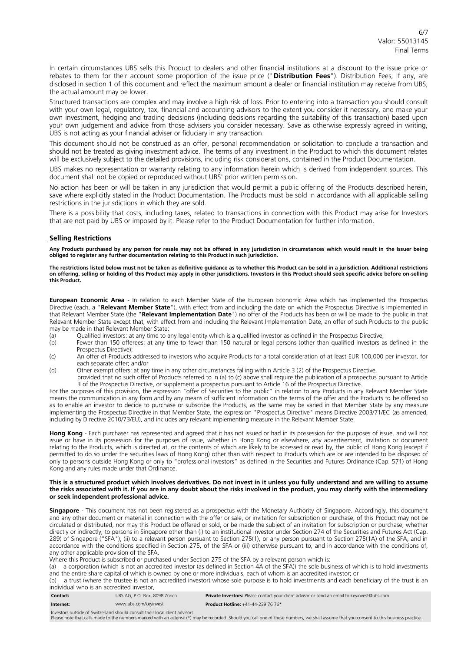In certain circumstances UBS sells this Product to dealers and other financial institutions at a discount to the issue price or rebates to them for their account some proportion of the issue price ("**Distribution Fees**"). Distribution Fees, if any, are disclosed in section 1 of this document and reflect the maximum amount a dealer or financial institution may receive from UBS; the actual amount may be lower.

Structured transactions are complex and may involve a high risk of loss. Prior to entering into a transaction you should consult with your own legal, regulatory, tax, financial and accounting advisors to the extent you consider it necessary, and make your own investment, hedging and trading decisions (including decisions regarding the suitability of this transaction) based upon your own judgement and advice from those advisers you consider necessary. Save as otherwise expressly agreed in writing, UBS is not acting as your financial adviser or fiduciary in any transaction.

This document should not be construed as an offer, personal recommendation or solicitation to conclude a transaction and should not be treated as giving investment advice. The terms of any investment in the Product to which this document relates will be exclusively subject to the detailed provisions, including risk considerations, contained in the Product Documentation.

UBS makes no representation or warranty relating to any information herein which is derived from independent sources. This document shall not be copied or reproduced without UBS' prior written permission.

No action has been or will be taken in any jurisdiction that would permit a public offering of the Products described herein, save where explicitly stated in the Product Documentation. The Products must be sold in accordance with all applicable selling restrictions in the jurisdictions in which they are sold.

There is a possibility that costs, including taxes, related to transactions in connection with this Product may arise for Investors that are not paid by UBS or imposed by it. Please refer to the Product Documentation for further information.

#### **Selling Restrictions**

**Any Products purchased by any person for resale may not be offered in any jurisdiction in circumstances which would result in the Issuer being obliged to register any further documentation relating to this Product in such jurisdiction.**

**The restrictions listed below must not be taken as definitive guidance as to whether this Product can be sold in a jurisdiction. Additional restrictions on offering, selling or holding of this Product may apply in other jurisdictions. Investors in this Product should seek specific advice before on-selling this Product.**

**European Economic Area** - In relation to each Member State of the European Economic Area which has implemented the Prospectus Directive (each, a "**Relevant Member State**"), with effect from and including the date on which the Prospectus Directive is implemented in that Relevant Member State (the "**Relevant Implementation Date**") no offer of the Products has been or will be made to the public in that Relevant Member State except that, with effect from and including the Relevant Implementation Date, an offer of such Products to the public may be made in that Relevant Member State:

- (a) Qualified investors: at any time to any legal entity which is a qualified investor as defined in the Prospectus Directive;<br>(b) Fewer than 150 offerees: at any time to fewer than 150 natural or legal persons (other than
- Fewer than 150 offerees: at any time to fewer than 150 natural or legal persons (other than qualified investors as defined in the Prospectus Directive);
- (c) An offer of Products addressed to investors who acquire Products for a total consideration of at least EUR 100,000 per investor, for each separate offer; and/or
- (d) Other exempt offers: at any time in any other circumstances falling within Article 3 (2) of the Prospectus Directive,

provided that no such offer of Products referred to in (a) to (c) above shall require the publication of a prospectus pursuant to Article 3 of the Prospectus Directive, or supplement a prospectus pursuant to Article 16 of the Prospectus Directive.

For the purposes of this provision, the expression "offer of Securities to the public" in relation to any Products in any Relevant Member State means the communication in any form and by any means of sufficient information on the terms of the offer and the Products to be offered so as to enable an investor to decide to purchase or subscribe the Products, as the same may be varied in that Member State by any measure implementing the Prospectus Directive in that Member State, the expression "Prospectus Directive" means Directive 2003/71/EC (as amended, including by Directive 2010/73/EU), and includes any relevant implementing measure in the Relevant Member State.

**Hong Kong** - Each purchaser has represented and agreed that it has not issued or had in its possession for the purposes of issue, and will not issue or have in its possession for the purposes of issue, whether in Hong Kong or elsewhere, any advertisement, invitation or document relating to the Products, which is directed at, or the contents of which are likely to be accessed or read by, the public of Hong Kong (except if permitted to do so under the securities laws of Hong Kong) other than with respect to Products which are or are intended to be disposed of only to persons outside Hong Kong or only to "professional investors" as defined in the Securities and Futures Ordinance (Cap. 571) of Hong Kong and any rules made under that Ordinance.

#### **This is a structured product which involves derivatives. Do not invest in it unless you fully understand and are willing to assume the risks associated with it. If you are in any doubt about the risks involved in the product, you may clarify with the intermediary or seek independent professional advice.**

**Singapore** - This document has not been registered as a prospectus with the Monetary Authority of Singapore. Accordingly, this document and any other document or material in connection with the offer or sale, or invitation for subscription or purchase, of this Product may not be circulated or distributed, nor may this Product be offered or sold, or be made the subject of an invitation for subscription or purchase, whether directly or indirectly, to persons in Singapore other than (i) to an institutional investor under Section 274 of the Securities and Futures Act (Cap. 289) of Singapore ("SFA"), (ii) to a relevant person pursuant to Section 275(1), or any person pursuant to Section 275(1A) of the SFA, and in accordance with the conditions specified in Section 275, of the SFA or (iii) otherwise pursuant to, and in accordance with the conditions of, any other applicable provision of the SFA.

Where this Product is subscribed or purchased under Section 275 of the SFA by a relevant person which is:

(a) a corporation (which is not an accredited investor (as defined in Section 4A of the SFA)) the sole business of which is to hold investments and the entire share capital of which is owned by one or more individuals, each of whom is an accredited investor; or

(b) a trust (where the trustee is not an accredited investor) whose sole purpose is to hold investments and each beneficiary of the trust is an individual who is an accredited investor,

**Contact:** UBS AG, P.O. Box, 8098 Zürich **Private Investors:** Please contact your client advisor or send an email to keyinvest@ubs.com

**Internet:** www.ubs.com/keyinvest **Product Hotline:** +41-44-239 76 76\*

Investors outside of Switzerland should consult their local client advisors.

Please note that calls made to the numbers marked with an asterisk (\*) may be recorded. Should you call one of these numbers, we shall assume that you consent to this business practice